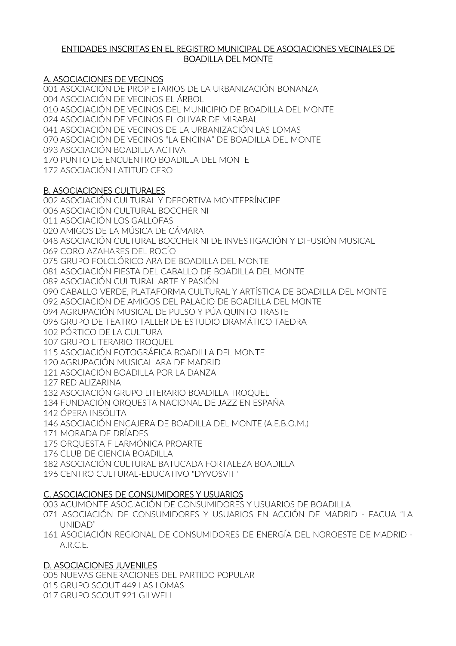### ENTIDADES INSCRITAS EN EL REGISTRO MUNICIPAL DE ASOCIACIONES VECINALES DE BOADILLA DEL MONTE

# A. ASOCIACIONES DE VECINOS

001 ASOCIACIÓN DE PROPIETARIOS DE LA URBANIZACIÓN BONANZA 004 ASOCIACIÓN DE VECINOS EL ÁRBOL 010 ASOCIACIÓN DE VECINOS DEL MUNICIPIO DE BOADILLA DEL MONTE 024 ASOCIACIÓN DE VECINOS EL OLIVAR DE MIRABAL 041 ASOCIACIÓN DE VECINOS DE LA URBANIZACIÓN LAS LOMAS 070 ASOCIACIÓN DE VECINOS "LA ENCINA" DE BOADILLA DEL MONTE 093 ASOCIACIÓN BOADILLA ACTIVA 170 PUNTO DE ENCUENTRO BOADILLA DEL MONTE 172 ASOCIACIÓN LATITUD CERO

## B. ASOCIACIONES CULTURALES

002 ASOCIACIÓN CULTURAL Y DEPORTIVA MONTEPRÍNCIPE 006 ASOCIACIÓN CULTURAL BOCCHERINI 011 ASOCIACIÓN LOS GALLOFAS 020 AMIGOS DE LA MÚSICA DE CÁMARA 048 ASOCIACIÓN CULTURAL BOCCHERINI DE INVESTIGACIÓN Y DIFUSIÓN MUSICAL 069 CORO AZAHARES DEL ROCÍO 075 GRUPO FOLCLÓRICO ARA DE BOADILLA DEL MONTE 081 ASOCIACIÓN FIESTA DEL CABALLO DE BOADILLA DEL MONTE 089 ASOCIACIÓN CULTURAL ARTE Y PASIÓN 090 CABALLO VERDE, PLATAFORMA CULTURAL Y ARTÍSTICA DE BOADILLA DEL MONTE 092 ASOCIACIÓN DE AMIGOS DEL PALACIO DE BOADILLA DEL MONTE 094 AGRUPACIÓN MUSICAL DE PULSO Y PÚA QUINTO TRASTE 096 GRUPO DE TEATRO TALLER DE ESTUDIO DRAMÁTICO TAEDRA 102 PÓRTICO DE LA CULTURA 107 GRUPO LITERARIO TROQUEL 115 ASOCIACIÓN FOTOGRÁFICA BOADILLA DEL MONTE 120 AGRUPACIÓN MUSICAL ARA DE MADRID 121 ASOCIACIÓN BOADILLA POR LA DANZA 127 RED ALIZARINA 132 ASOCIACIÓN GRUPO LITERARIO BOADILLA TROQUEL 134 FUNDACIÓN ORQUESTA NACIONAL DE JAZZ EN ESPAÑA 142 ÓPERA INSÓLITA 146 ASOCIACIÓN ENCAJERA DE BOADILLA DEL MONTE (A.E.B.O.M.) 171 MORADA DE DRÍADES 175 ORQUESTA FILARMÓNICA PROARTE 176 CLUB DE CIENCIA BOADILLA 182 ASOCIACIÓN CULTURAL BATUCADA FORTALEZA BOADILLA 196 CENTRO CULTURAL-EDUCATIVO "DYVOSVIT"

# C. ASOCIACIONES DE CONSUMIDORES Y USUARIOS

003 ACUMONTE ASOCIACIÓN DE CONSUMIDORES Y USUARIOS DE BOADILLA

- 071 ASOCIACIÓN DE CONSUMIDORES Y USUARIOS EN ACCIÓN DE MADRID FACUA "LA UNIDAD"
- 161 ASOCIACIÓN REGIONAL DE CONSUMIDORES DE ENERGÍA DEL NOROESTE DE MADRID A.R.C.E.

### D. ASOCIACIONES JUVENILES

005 NUEVAS GENERACIONES DEL PARTIDO POPULAR 015 GRUPO SCOUT 449 LAS LOMAS 017 GRUPO SCOUT 921 GILWELL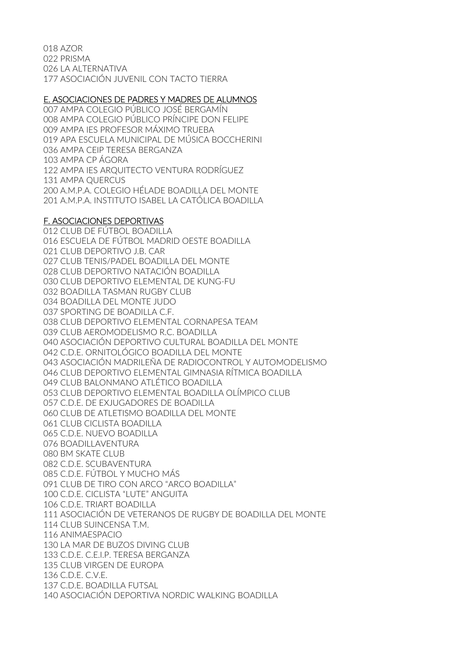018 AZOR 022 PRISMA 026 LA ALTERNATIVA 177 ASOCIACIÓN JUVENIL CON TACTO TIERRA

#### E. ASOCIACIONES DE PADRES Y MADRES DE ALUMNOS

007 AMPA COLEGIO PÚBLICO JOSÉ BERGAMÍN 008 AMPA COLEGIO PÚBLICO PRÍNCIPE DON FELIPE 009 AMPA IES PROFESOR MÁXIMO TRUEBA 019 APA ESCUELA MUNICIPAL DE MÚSICA BOCCHERINI 036 AMPA CEIP TERESA BERGANZA 103 AMPA CP ÁGORA 122 AMPA IES ARQUITECTO VENTURA RODRÍGUEZ 131 AMPA QUERCUS 200 A.M.P.A. COLEGIO HÉLADE BOADILLA DEL MONTE 201 A.M.P.A. INSTITUTO ISABEL LA CATÓLICA BOADILLA

### F. ASOCIACIONES DEPORTIVAS

012 CLUB DE FÚTBOL BOADILLA 016 ESCUELA DE FÚTBOL MADRID OESTE BOADILLA 021 CLUB DEPORTIVO J.B. CAR 027 CLUB TENIS/PADEL BOADILLA DEL MONTE 028 CLUB DEPORTIVO NATACIÓN BOADILLA 030 CLUB DEPORTIVO ELEMENTAL DE KUNG-FU 032 BOADILLA TASMAN RUGBY CLUB 034 BOADILLA DEL MONTE JUDO 037 SPORTING DE BOADILLA C.F. 038 CLUB DEPORTIVO ELEMENTAL CORNAPESA TEAM 039 CLUB AEROMODELISMO R.C. BOADILLA 040 ASOCIACIÓN DEPORTIVO CULTURAL BOADILLA DEL MONTE 042 C.D.E. ORNITOLÓGICO BOADILLA DEL MONTE 043 ASOCIACIÓN MADRILEÑA DE RADIOCONTROL Y AUTOMODELISMO 046 CLUB DEPORTIVO ELEMENTAL GIMNASIA RÍTMICA BOADILLA 049 CLUB BALONMANO ATLÉTICO BOADILLA 053 CLUB DEPORTIVO ELEMENTAL BOADILLA OLÍMPICO CLUB 057 C.D.E. DE EXJUGADORES DE BOADILLA 060 CLUB DE ATLETISMO BOADILLA DEL MONTE 061 CLUB CICLISTA BOADILLA 065 C.D.E. NUEVO BOADILLA 076 BOADILLAVENTURA 080 BM SKATE CLUB 082 C.D.E. SCUBAVENTURA 085 C.D.E. FÚTBOL Y MUCHO MÁS 091 CLUB DE TIRO CON ARCO "ARCO BOADILLA" 100 C.D.E. CICLISTA "LUTE" ANGUITA 106 C.D.E. TRIART BOADILLA 111 ASOCIACIÓN DE VETERANOS DE RUGBY DE BOADILLA DEL MONTE 114 CLUB SUINCENSA T.M. 116 ANIMAESPACIO 130 LA MAR DE BUZOS DIVING CLUB 133 C.D.E. C.E.I.P. TERESA BERGANZA 135 CLUB VIRGEN DE EUROPA 136 C.D.E. C.V.E. 137 C.D.E. BOADILLA FUTSAL 140 ASOCIACIÓN DEPORTIVA NORDIC WALKING BOADILLA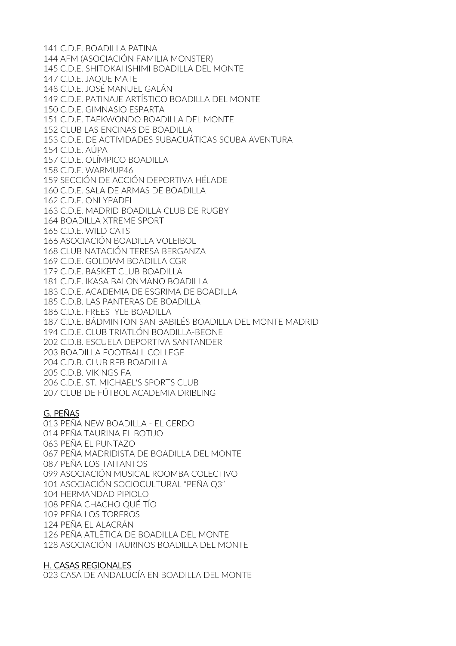141 C.D.E. BOADILLA PATINA 144 AFM (ASOCIACIÓN FAMILIA MONSTER) 145 C.D.E. SHITOKAI ISHIMI BOADILLA DEL MONTE 147 C.D.E. JAQUE MATE 148 C.D.E. JOSÉ MANUEL GALÁN 149 C.D.E. PATINAJE ARTÍSTICO BOADILLA DEL MONTE 150 C.D.E. GIMNASIO ESPARTA 151 C.D.E. TAEKWONDO BOADILLA DEL MONTE 152 CLUB LAS ENCINAS DE BOADILLA 153 C.D.E. DE ACTIVIDADES SUBACUÁTICAS SCUBA AVENTURA 154 C.D.E. AÚPA 157 C.D.E. OLÍMPICO BOADILLA 158 C.D.E. WARMUP46 159 SECCIÓN DE ACCIÓN DEPORTIVA HÉLADE 160 C.D.E. SALA DE ARMAS DE BOADILLA 162 C.D.E. ONLYPADEL 163 C.D.E. MADRID BOADILLA CLUB DE RUGBY 164 BOADILLA XTREME SPORT 165 C.D.E. WILD CATS 166 ASOCIACIÓN BOADILLA VOLEIBOL 168 CLUB NATACIÓN TERESA BERGANZA 169 C.D.E. GOLDIAM BOADILLA CGR 179 C.D.E. BASKET CLUB BOADILLA 181 C.D.E. IKASA BALONMANO BOADILLA 183 C.D.E. ACADEMIA DE ESGRIMA DE BOADILLA 185 C.D.B. LAS PANTERAS DE BOADILLA 186 C.D.E. FREESTYLE BOADILLA 187 C.D.E. BÁDMINTON SAN BABILÉS BOADILLA DEL MONTE MADRID 194 C.D.E. CLUB TRIATLÓN BOADILLA-BEONE 202 C.D.B. ESCUELA DEPORTIVA SANTANDER 203 BOADILLA FOOTBALL COLLEGE 204 C.D.B. CLUB RFB BOADILLA 205 C.D.B. VIKINGS FA 206 C.D.E. ST. MICHAEL'S SPORTS CLUB 207 CLUB DE FÚTBOL ACADEMIA DRIBLING

### G. PEÑAS

013 PEÑA NEW BOADILLA - EL CERDO 014 PEÑA TAURINA EL BOTIJO 063 PEÑA EL PUNTAZO 067 PEÑA MADRIDISTA DE BOADILLA DEL MONTE 087 PEÑA LOS TAITANTOS 099 ASOCIACIÓN MUSICAL ROOMBA COLECTIVO 101 ASOCIACIÓN SOCIOCULTURAL "PEÑA Q3" 104 HERMANDAD PIPIOLO 108 PEÑA CHACHO QUÉ TÍO 109 PEÑA LOS TOREROS 124 PEÑA EL ALACRÁN 126 PEÑA ATLÉTICA DE BOADILLA DEL MONTE 128 ASOCIACIÓN TAURINOS BOADILLA DEL MONTE

### H. CASAS REGIONALES

023 CASA DE ANDALUCÍA EN BOADILLA DEL MONTE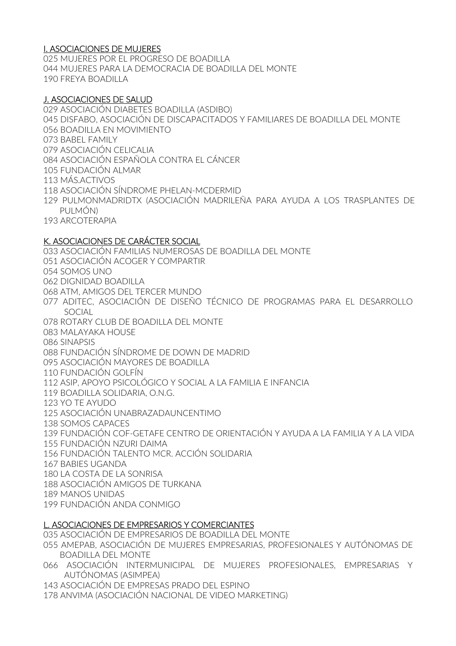### I. ASOCIACIONES DE MUJERES

025 MUJERES POR EL PROGRESO DE BOADILLA 044 MUJERES PARA LA DEMOCRACIA DE BOADILLA DEL MONTE 190 FREYA BOADILLA

#### J. ASOCIACIONES DE SALUD

029 ASOCIACIÓN DIABETES BOADILLA (ASDIBO) 045 DISFABO, ASOCIACIÓN DE DISCAPACITADOS Y FAMILIARES DE BOADILLA DEL MONTE 056 BOADILLA EN MOVIMIENTO 073 BABEL FAMILY 079 ASOCIACIÓN CELICALIA 084 ASOCIACIÓN ESPAÑOLA CONTRA EL CÁNCER 105 FUNDACIÓN ALMAR 113 MÁS.ACTIVOS 118 ASOCIACIÓN SÍNDROME PHELAN-MCDERMID 129 PULMONMADRIDTX (ASOCIACIÓN MADRILEÑA PARA AYUDA A LOS TRASPLANTES DE PULMÓN) 193 ARCOTERAPIA

#### K. ASOCIACIONES DE CARÁCTER SOCIAL

033 ASOCIACIÓN FAMILIAS NUMEROSAS DE BOADILLA DEL MONTE 051 ASOCIACIÓN ACOGER Y COMPARTIR 054 SOMOS UNO 062 DIGNIDAD BOADILLA 068 ATM, AMIGOS DEL TERCER MUNDO 077 ADITEC, ASOCIACIÓN DE DISEÑO TÉCNICO DE PROGRAMAS PARA EL DESARROLLO SOCIAL 078 ROTARY CLUB DE BOADILLA DEL MONTE 083 MALAYAKA HOUSE 086 SINAPSIS 088 FUNDACIÓN SÍNDROME DE DOWN DE MADRID 095 ASOCIACIÓN MAYORES DE BOADILLA 110 FUNDACIÓN GOLFÍN 112 ASIP, APOYO PSICOLÓGICO Y SOCIAL A LA FAMILIA E INFANCIA 119 BOADILLA SOLIDARIA, O.N.G. 123 YO TE AYUDO 125 ASOCIACIÓN UNABRAZADAUNCENTIMO 138 SOMOS CAPACES 139 FUNDACIÓN COF-GETAFE CENTRO DE ORIENTACIÓN Y AYUDA A LA FAMILIA Y A LA VIDA 155 FUNDACIÓN NZURI DAIMA 156 FUNDACIÓN TALENTO MCR. ACCIÓN SOLIDARIA 167 BABIES UGANDA 180 LA COSTA DE LA SONRISA 188 ASOCIACIÓN AMIGOS DE TURKANA 189 MANOS UNIDAS 199 FUNDACIÓN ANDA CONMIGO

#### L. ASOCIACIONES DE EMPRESARIOS Y COMERCIANTES

035 ASOCIACIÓN DE EMPRESARIOS DE BOADILLA DEL MONTE

055 AMEPAB, ASOCIACIÓN DE MUJERES EMPRESARIAS, PROFESIONALES Y AUTÓNOMAS DE BOADILLA DEL MONTE

066 ASOCIACIÓN INTERMUNICIPAL DE MUJERES PROFESIONALES, EMPRESARIAS Y AUTÓNOMAS (ASIMPEA)

143 ASOCIACIÓN DE EMPRESAS PRADO DEL ESPINO

178 ANVIMA (ASOCIACIÓN NACIONAL DE VIDEO MARKETING)